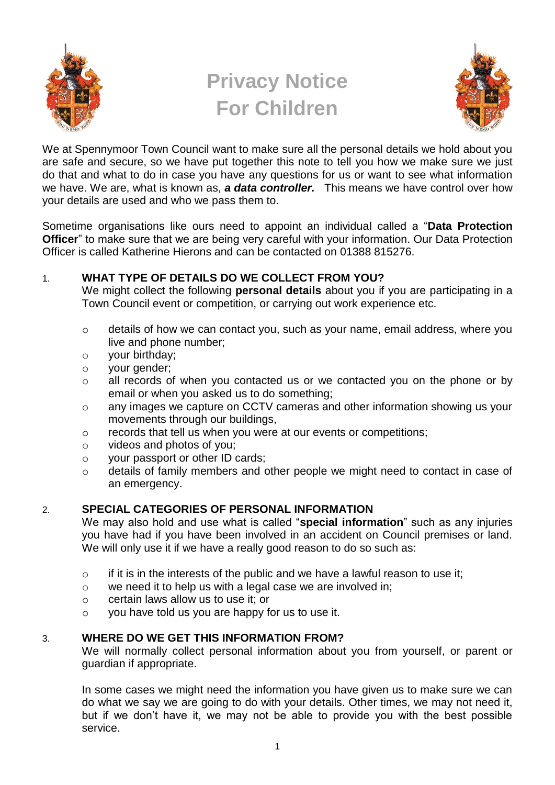

# **Privacy Notice For Children**



We at Spennymoor Town Council want to make sure all the personal details we hold about you are safe and secure, so we have put together this note to tell you how we make sure we just do that and what to do in case you have any questions for us or want to see what information we have. We are, what is known as, *a data controller.* This means we have control over how your details are used and who we pass them to.

Sometime organisations like ours need to appoint an individual called a "**Data Protection Officer**" to make sure that we are being very careful with your information. Our Data Protection Officer is called Katherine Hierons and can be contacted on 01388 815276.

# 1. **WHAT TYPE OF DETAILS DO WE COLLECT FROM YOU?**

We might collect the following **personal details** about you if you are participating in a Town Council event or competition, or carrying out work experience etc.

- o details of how we can contact you, such as your name, email address, where you live and phone number;
- o your birthday;
- o your gender;
- o all records of when you contacted us or we contacted you on the phone or by email or when you asked us to do something;
- o any images we capture on CCTV cameras and other information showing us your movements through our buildings,
- o records that tell us when you were at our events or competitions;
- o videos and photos of you;
- o your passport or other ID cards;
- o details of family members and other people we might need to contact in case of an emergency.

## 2. **SPECIAL CATEGORIES OF PERSONAL INFORMATION**

We may also hold and use what is called "**special information**" such as any injuries you have had if you have been involved in an accident on Council premises or land. We will only use it if we have a really good reason to do so such as:

- $\circ$  if it is in the interests of the public and we have a lawful reason to use it;
- o we need it to help us with a legal case we are involved in;
- o certain laws allow us to use it; or
- o you have told us you are happy for us to use it.

## 3. **WHERE DO WE GET THIS INFORMATION FROM?**

We will normally collect personal information about you from yourself, or parent or guardian if appropriate.

In some cases we might need the information you have given us to make sure we can do what we say we are going to do with your details. Other times, we may not need it, but if we don't have it, we may not be able to provide you with the best possible service.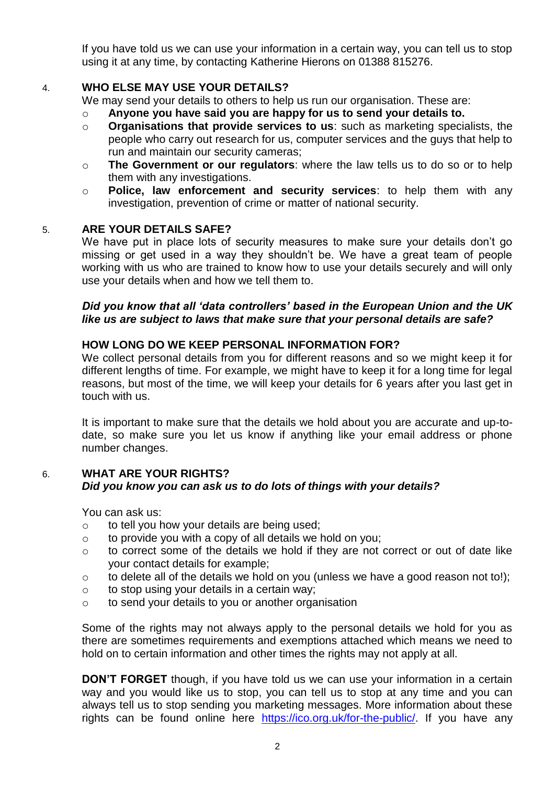If you have told us we can use your information in a certain way, you can tell us to stop using it at any time, by contacting Katherine Hierons on 01388 815276.

## 4. **WHO ELSE MAY USE YOUR DETAILS?**

We may send your details to others to help us run our organisation. These are:

- o **Anyone you have said you are happy for us to send your details to.**
- o **Organisations that provide services to us**: such as marketing specialists, the people who carry out research for us, computer services and the guys that help to run and maintain our security cameras;
- o **The Government or our regulators**: where the law tells us to do so or to help them with any investigations.
- o **Police, law enforcement and security services**: to help them with any investigation, prevention of crime or matter of national security.

## 5. **ARE YOUR DETAILS SAFE?**

We have put in place lots of security measures to make sure your details don't go missing or get used in a way they shouldn't be. We have a great team of people working with us who are trained to know how to use your details securely and will only use your details when and how we tell them to.

### *Did you know that all 'data controllers' based in the European Union and the UK like us are subject to laws that make sure that your personal details are safe?*

## **HOW LONG DO WE KEEP PERSONAL INFORMATION FOR?**

We collect personal details from you for different reasons and so we might keep it for different lengths of time. For example, we might have to keep it for a long time for legal reasons, but most of the time, we will keep your details for 6 years after you last get in touch with us.

It is important to make sure that the details we hold about you are accurate and up-todate, so make sure you let us know if anything like your email address or phone number changes.

### 6. **WHAT ARE YOUR RIGHTS?** *Did you know you can ask us to do lots of things with your details?*

You can ask us:

- o to tell you how your details are being used;
- $\circ$  to provide you with a copy of all details we hold on you;
- o to correct some of the details we hold if they are not correct or out of date like your contact details for example;
- $\circ$  to delete all of the details we hold on you (unless we have a good reason not to!):
- o to stop using your details in a certain way;
- o to send your details to you or another organisation

Some of the rights may not always apply to the personal details we hold for you as there are sometimes requirements and exemptions attached which means we need to hold on to certain information and other times the rights may not apply at all.

**DON'T FORGET** though, if you have told us we can use your information in a certain way and you would like us to stop, you can tell us to stop at any time and you can always tell us to stop sending you marketing messages. More information about these rights can be found online here [https://ico.org.uk/for-the-public/.](https://ico.org.uk/for-the-public/) If you have any